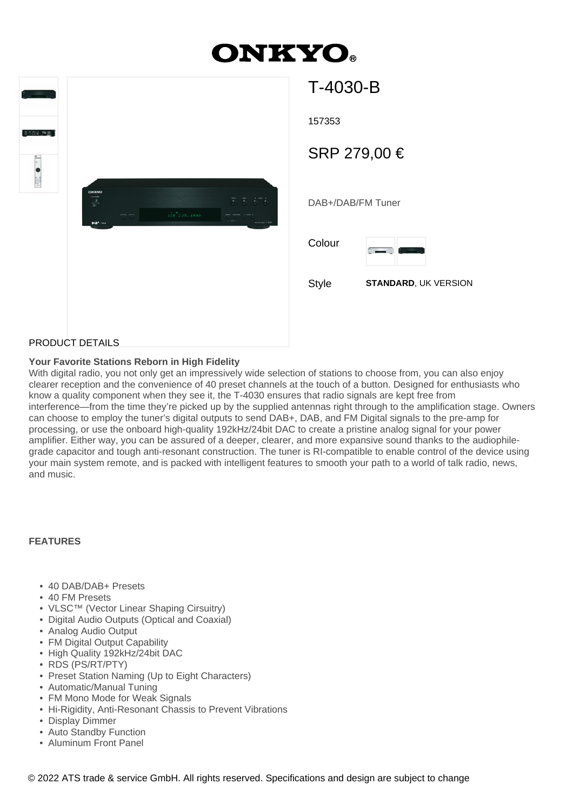# **ONKYO.**

| <b>ONICYO</b><br><b>Service</b><br>$\overline{V}$<br>$B\backslash B^+$ ADS | $\begin{array}{cc} \text{where} & \text{where} \\ \mathcal{P} & \mathcal{P} \end{array}$ | $1\bar{2}B$ $2\,25$ , $6MHz$ | るる おる<br>$\begin{array}{ccccc} \frac{1}{\sqrt{2}} & \frac{1}{\sqrt{2}} & \frac{1}{\sqrt{2}} & \frac{1}{\sqrt{2}} & \frac{1}{\sqrt{2}} \\ \frac{1}{\sqrt{2}} & \frac{1}{\sqrt{2}} & \frac{1}{\sqrt{2}} & \frac{1}{\sqrt{2}} & \frac{1}{\sqrt{2}} \\ \frac{1}{\sqrt{2}} & \frac{1}{\sqrt{2}} & \frac{1}{\sqrt{2}} & \frac{1}{\sqrt{2}} & \frac{1}{\sqrt{2}} \end{array}$<br><b>DAINFORD 7-4030</b> |  |
|----------------------------------------------------------------------------|------------------------------------------------------------------------------------------|------------------------------|--------------------------------------------------------------------------------------------------------------------------------------------------------------------------------------------------------------------------------------------------------------------------------------------------------------------------------------------------------------------------------------------------|--|
|                                                                            |                                                                                          |                              |                                                                                                                                                                                                                                                                                                                                                                                                  |  |
|                                                                            |                                                                                          |                              |                                                                                                                                                                                                                                                                                                                                                                                                  |  |

| T-4030-B                             |
|--------------------------------------|
| 157353                               |
| SRP 279,00 €                         |
| DAB+/DAB/FM Tuner                    |
| Colour                               |
| <b>STANDARD, UK VERSION</b><br>Style |
|                                      |

### PRODUCT DETAILS

#### **Your Favorite Stations Reborn in High Fidelity**

With digital radio, you not only get an impressively wide selection of stations to choose from, you can also enjoy clearer reception and the convenience of 40 preset channels at the touch of a button. Designed for enthusiasts who know a quality component when they see it, the T-4030 ensures that radio signals are kept free from interference—from the time they're picked up by the supplied antennas right through to the amplification stage. Owners can choose to employ the tuner's digital outputs to send DAB+, DAB, and FM Digital signals to the pre-amp for processing, or use the onboard high-quality 192kHz/24bit DAC to create a pristine analog signal for your power amplifier. Either way, you can be assured of a deeper, clearer, and more expansive sound thanks to the audiophilegrade capacitor and tough anti-resonant construction. The tuner is RI-compatible to enable control of the device using your main system remote, and is packed with intelligent features to smooth your path to a world of talk radio, news, and music.

#### **FEATURES**

- 40 DAB/DAB+ Presets
- 40 FM Presets
- VLSC™ (Vector Linear Shaping Cirsuitry)
- Digital Audio Outputs (Optical and Coaxial)
- Analog Audio Output
- FM Digital Output Capability
- High Quality 192kHz/24bit DAC
- RDS (PS/RT/PTY)
- Preset Station Naming (Up to Eight Characters)
- Automatic/Manual Tuning
- FM Mono Mode for Weak Signals
- Hi-Rigidity, Anti-Resonant Chassis to Prevent Vibrations
- Display Dimmer
- Auto Standby Function
- Aluminum Front Panel